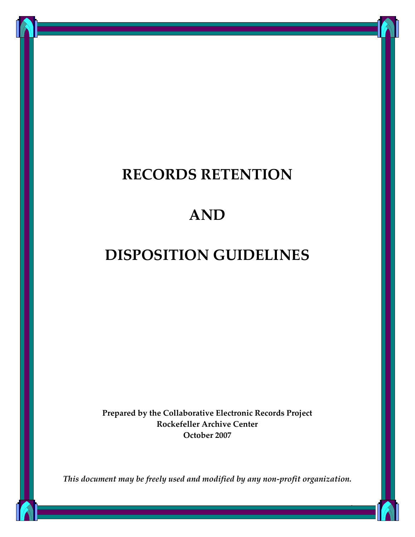## **RECORDS RETENTION**

## **AND**

# **DISPOSITION GUIDELINES**

**Prepared by the Collaborative Electronic Records Project Rockefeller Archive Center October 2007**

*This document may be freely used and modified by any non‐profit organization.*

1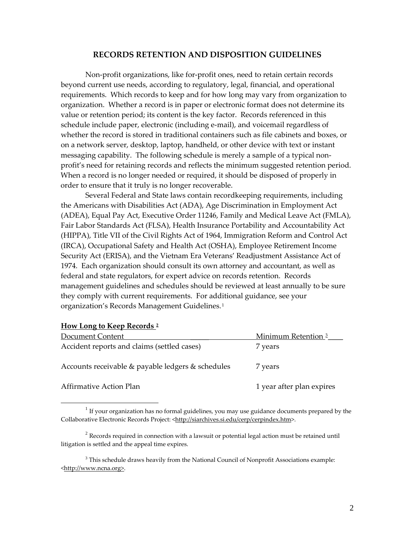#### **RECORDS RETENTION AND DISPOSITION GUIDELINES**

Non‐profit organizations, like for‐profit ones, need to retain certain records beyond current use needs, according to regulatory, legal, financial, and operational requirements. Which records to keep and for how long may vary from organization to organization. Whether a record is in paper or electronic format does not determine its value or retention period; its content is the key factor. Records referenced in this schedule include paper, electronic (including e‐mail), and voicemail regardless of whether the record is stored in traditional containers such as file cabinets and boxes, or on a network server, desktop, laptop, handheld, or other device with text or instant messaging capability. The following schedule is merely a sample of a typical non‐ profit's need for retaining records and reflects the minimum suggested retention period. When a record is no longer needed or required, it should be disposed of properly in order to ensure that it truly is no longer recoverable.

Several Federal and State laws contain recordkeeping requirements, including the Americans with Disabilities Act (ADA), Age Discrimination in Employment Act (ADEA), Equal Pay Act, Executive Order 11246, Family and Medical Leave Act (FMLA), Fair Labor Standards Act (FLSA), Health Insurance Portability and Accountability Act (HIPPA), Title VII of the Civil Rights Act of 1964, Immigration Reform and Control Act (IRCA), Occupational Safety and Health Act (OSHA), Employee Retirement Income Security Act (ERISA), and the Vietnam Era Veterans' Readjustment Assistance Act of 1974. Each organization should consult its own attorney and accountant, as well as federal and state regulators, for expert advice on records retention. Records management guidelines and schedules should be reviewed at least annually to be sure they comply with current requirements. For additional guidance, see your organization's Records Management Guidelines. [1](#page-1-0)

| Document Content                                  | Minimum Retention <sup>3</sup> |
|---------------------------------------------------|--------------------------------|
| Accident reports and claims (settled cases)       | 7 years                        |
| Accounts receivable & payable ledgers & schedules | 7 years                        |
| Affirmative Action Plan                           | 1 year after plan expires      |

#### **How Long to Keep Records [2](#page-1-1)**

<span id="page-1-0"></span> $1$  If your organization has no formal guidelines, you may use guidance documents prepared by the Collaborative Electronic Records Project: <[http://siarchives.si.edu/cerp/cerpindex.htm>](http://siarchives.si.edu/cerp/cerpindex.htm).

<span id="page-1-1"></span> $2^{2}$  Records required in connection with a lawsuit or potential legal action must be retained until litigation is settled and the appeal time expires.

<span id="page-1-2"></span><sup>&</sup>lt;sup>3</sup> This schedule draws heavily from the National Council of Nonprofit Associations example: <http://www.ncna.org>.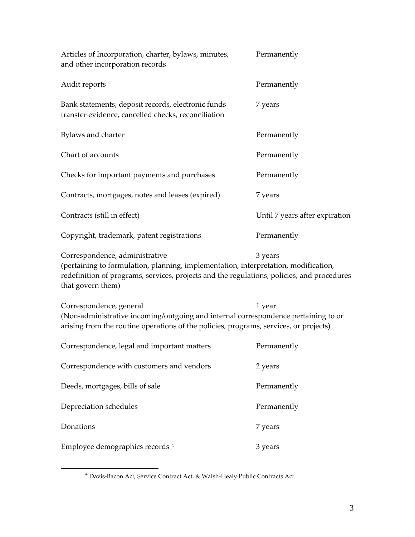| Articles of Incorporation, charter, bylaws, minutes,<br>and other incorporation records                                                                                                                                                  | Permanently                    |
|------------------------------------------------------------------------------------------------------------------------------------------------------------------------------------------------------------------------------------------|--------------------------------|
| Audit reports                                                                                                                                                                                                                            | Permanently                    |
| Bank statements, deposit records, electronic funds<br>transfer evidence, cancelled checks, reconciliation                                                                                                                                | 7 years                        |
| Bylaws and charter                                                                                                                                                                                                                       | Permanently                    |
| Chart of accounts                                                                                                                                                                                                                        | Permanently                    |
| Checks for important payments and purchases                                                                                                                                                                                              | Permanently                    |
| Contracts, mortgages, notes and leases (expired)                                                                                                                                                                                         | 7 years                        |
| Contracts (still in effect)                                                                                                                                                                                                              | Until 7 years after expiration |
| Copyright, trademark, patent registrations                                                                                                                                                                                               | Permanently                    |
| Correspondence, administrative<br>(pertaining to formulation, planning, implementation, interpretation, modification,<br>redefinition of programs, services, projects and the regulations, policies, and procedures<br>that govern them) | 3 years                        |

Correspondence, general 1 year (Non‐administrative incoming/outgoing and internal correspondence pertaining to or arising from the routine operations of the policies, programs, services, or projects)

| Correspondence, legal and important matters | Permanently |
|---------------------------------------------|-------------|
| Correspondence with customers and vendors   | 2 years     |
| Deeds, mortgages, bills of sale             | Permanently |
| Depreciation schedules                      | Permanently |
| Donations                                   | 7 years     |
| Employee demographics records 4             | 3 years     |

<span id="page-2-0"></span> <sup>4</sup> Davis‐Bacon Act, Service Contract Act, & Walsh‐Healy Public Contracts Act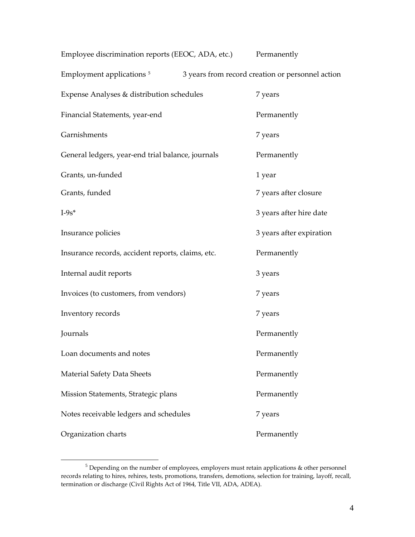| Employee discrimination reports (EEOC, ADA, etc.) |                                                  | Permanently              |
|---------------------------------------------------|--------------------------------------------------|--------------------------|
| Employment applications <sup>5</sup>              | 3 years from record creation or personnel action |                          |
| Expense Analyses & distribution schedules         |                                                  | 7 years                  |
| Financial Statements, year-end                    |                                                  | Permanently              |
| Garnishments                                      |                                                  | 7 years                  |
| General ledgers, year-end trial balance, journals |                                                  | Permanently              |
| Grants, un-funded                                 |                                                  | 1 year                   |
| Grants, funded                                    |                                                  | 7 years after closure    |
| $I-9s*$                                           |                                                  | 3 years after hire date  |
| Insurance policies                                |                                                  | 3 years after expiration |
| Insurance records, accident reports, claims, etc. |                                                  | Permanently              |
| Internal audit reports                            |                                                  | 3 years                  |
| Invoices (to customers, from vendors)             |                                                  | 7 years                  |
| Inventory records                                 |                                                  | 7 years                  |
| Journals                                          |                                                  | Permanently              |
| Loan documents and notes                          |                                                  | Permanently              |
| <b>Material Safety Data Sheets</b>                |                                                  | Permanently              |
| Mission Statements, Strategic plans               |                                                  | Permanently              |
| Notes receivable ledgers and schedules            |                                                  | 7 years                  |
| Organization charts                               |                                                  | Permanently              |

<span id="page-3-0"></span> $^5$  Depending on the number of employees, employers must retain applications  $\&$  other personnel records relating to hires, rehires, tests, promotions, transfers, demotions, selection for training, layoff, recall, termination or discharge (Civil Rights Act of 1964, Title VII, ADA, ADEA).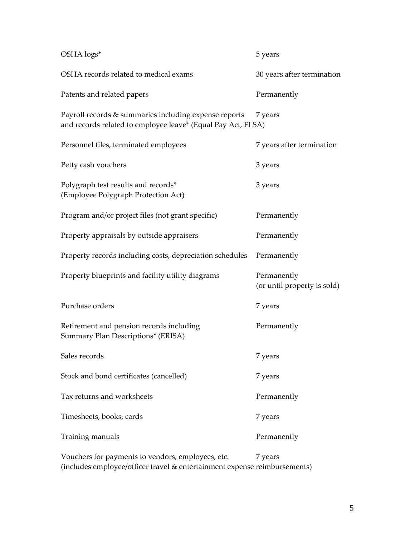| OSHA logs*                                                                                                            | 5 years                                    |
|-----------------------------------------------------------------------------------------------------------------------|--------------------------------------------|
| OSHA records related to medical exams                                                                                 | 30 years after termination                 |
| Patents and related papers                                                                                            | Permanently                                |
| Payroll records & summaries including expense reports<br>and records related to employee leave* (Equal Pay Act, FLSA) | 7 years                                    |
| Personnel files, terminated employees                                                                                 | 7 years after termination                  |
| Petty cash vouchers                                                                                                   | 3 years                                    |
| Polygraph test results and records*<br>(Employee Polygraph Protection Act)                                            | 3 years                                    |
| Program and/or project files (not grant specific)                                                                     | Permanently                                |
| Property appraisals by outside appraisers                                                                             | Permanently                                |
| Property records including costs, depreciation schedules                                                              | Permanently                                |
| Property blueprints and facility utility diagrams                                                                     | Permanently<br>(or until property is sold) |
| Purchase orders                                                                                                       | 7 years                                    |
| Retirement and pension records including<br>Summary Plan Descriptions* (ERISA)                                        | Permanently                                |
| Sales records                                                                                                         | 7 years                                    |
| Stock and bond certificates (cancelled)                                                                               | 7 years                                    |
| Tax returns and worksheets                                                                                            | Permanently                                |
| Timesheets, books, cards                                                                                              | 7 years                                    |
| Training manuals                                                                                                      | Permanently                                |
| Vouchers for payments to vendors, employees, etc.                                                                     | 7 years                                    |

(includes employee/officer travel & entertainment expense reimbursements)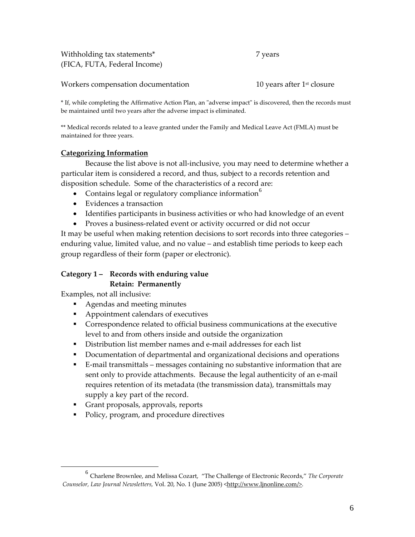Withholding tax statements\* 7 years (FICA, FUTA, Federal Income)

Workers compensation documentation **10** years after 1<sup>st</sup> closure

\* If, while completing the Affirmative Action Plan, an ʺadverse impactʺ is discovered, then the records must be maintained until two years after the adverse impact is eliminated.

\*\* Medical records related to a leave granted under the Family and Medical Leave Act (FMLA) must be maintained for three years.

#### **Categorizing Information**

Because the list above is not all‐inclusive, you may need to determine whether a particular item is considered a record, and thus, subject to a records retention and disposition schedule. Some of the characteristics of a record are:

- Contains legal or regulatory compliance information $^{\circ}$
- Evidences a transaction
- Identifies participants in business activities or who had knowledge of an event
- Proves a business-related event or activity occurred or did not occur

It may be useful when making retention decisions to sort records into three categories – enduring value, limited value, and no value – and establish time periods to keep each group regardless of their form (paper or electronic).

## **Category 1 – Records with enduring value Retain: Permanently**

Examples, not all inclusive:

- Agendas and meeting minutes
- **Appointment calendars of executives**
- Correspondence related to official business communications at the executive level to and from others inside and outside the organization
- Distribution list member names and e-mail addresses for each list
- Documentation of departmental and organizational decisions and operations
- E-mail transmittals messages containing no substantive information that are sent only to provide attachments. Because the legal authenticity of an e-mail requires retention of its metadata (the transmission data), transmittals may supply a key part of the record.
- Grant proposals, approvals, reports
- Policy, program, and procedure directives

<span id="page-5-0"></span> <sup>6</sup> Charlene Brownlee, and Melissa Cozart, "The Challenge of Electronic Records," *The Corporate Counselor, Law Journal Newsletters,* Vol. 20, No. 1 (June 2005) <<http://www.ljnonline.com/>>.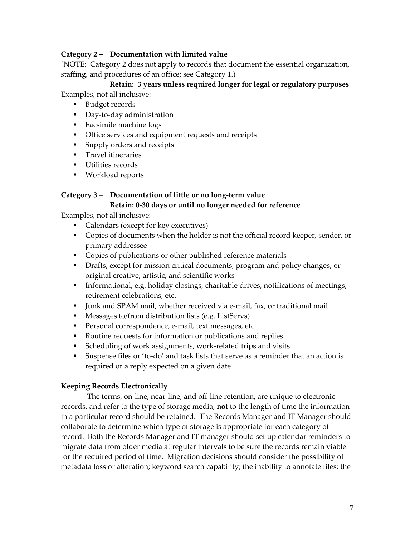## **Category 2 – Documentation with limited value**

[NOTE: Category 2 does not apply to records that document the essential organization, staffing, and procedures of an office; see Category 1.)

 **Retain: 3 years unless required longer for legal or regulatory purposes** Examples, not all inclusive:

- Budget records
- Day-to-day administration
- **Facsimile machine logs**
- Office services and equipment requests and receipts
- **Supply orders and receipts**
- **Travel itineraries**
- **Utilities records**
- **Workload reports**

## **Category 3 – Documentation of little or no long‐term value Retain: 0‐30 days or until no longer needed for reference**

Examples, not all inclusive:

- Calendars (except for key executives)
- Copies of documents when the holder is not the official record keeper, sender, or primary addressee
- **Copies of publications or other published reference materials**
- **•** Drafts, except for mission critical documents, program and policy changes, or original creative, artistic, and scientific works
- Informational, e.g. holiday closings, charitable drives, notifications of meetings, retirement celebrations, etc.
- Junk and SPAM mail, whether received via e-mail, fax, or traditional mail
- **Messages to/from distribution lists (e.g. ListServs)**
- Personal correspondence, e-mail, text messages, etc.
- Routine requests for information or publications and replies
- Scheduling of work assignments, work-related trips and visits
- Suspense files or 'to-do' and task lists that serve as a reminder that an action is required or a reply expected on a given date

#### **Keeping Records Electronically**

The terms, on-line, near-line, and off-line retention, are unique to electronic records, and refer to the type of storage media, **not** to the length of time the information in a particular record should be retained. The Records Manager and IT Manager should collaborate to determine which type of storage is appropriate for each category of record. Both the Records Manager and IT manager should set up calendar reminders to migrate data from older media at regular intervals to be sure the records remain viable for the required period of time. Migration decisions should consider the possibility of metadata loss or alteration; keyword search capability; the inability to annotate files; the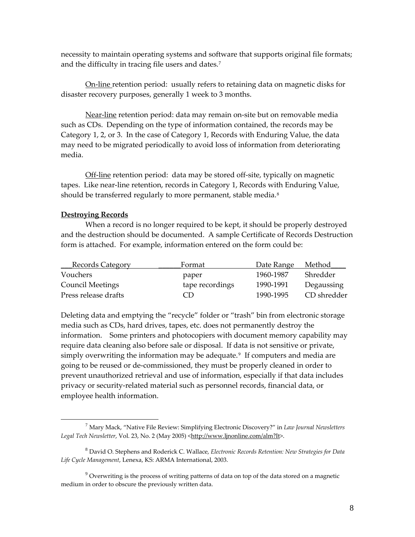necessity to maintain operating systems and software that supports original file formats; and the difficulty in tracing file users and dates.[7](#page-7-0)

On‐line retention period: usually refers to retaining data on magnetic disks for disaster recovery purposes, generally 1 week to 3 months.

Near‐line retention period: data may remain on‐site but on removable media such as CDs. Depending on the type of information contained, the records may be Category 1, 2, or 3. In the case of Category 1, Records with Enduring Value, the data may need to be migrated periodically to avoid loss of information from deteriorating media.

Off-line retention period: data may be stored off-site, typically on magnetic tapes. Like near‐line retention, records in Category 1, Records with Enduring Value, should be transferred regularly to more permanent, stable media.<sup>[8](#page-7-1)</sup>

#### **Destroying Records**

When a record is no longer required to be kept, it should be properly destroyed and the destruction should be documented. A sample Certificate of Records Destruction form is attached. For example, information entered on the form could be:

| <b>Records Category</b> | Format          | Date Range | Method      |
|-------------------------|-----------------|------------|-------------|
| Vouchers                | paper           | 1960-1987  | Shredder    |
| <b>Council Meetings</b> | tape recordings | 1990-1991  | Degaussing  |
| Press release drafts    | (T)             | 1990-1995  | CD shredder |

Deleting data and emptying the "recycle" folder or "trash" bin from electronic storage media such as CDs, hard drives, tapes, etc. does not permanently destroy the information. Some printers and photocopiers with document memory capability may require data cleaning also before sale or disposal. If data is not sensitive or private, simply overwriting the information may be adequate. $9$  If computers and media are going to be reused or de‐commissioned, they must be properly cleaned in order to prevent unauthorized retrieval and use of information, especially if that data includes privacy or security‐related material such as personnel records, financial data, or employee health information.

<span id="page-7-0"></span> <sup>7</sup> Mary Mack, "Native File Review: Simplifying Electronic Discovery?" in *Law Journal Newsletters* Legal Tech Newsletter, Vol. 23, No. 2 (May 2005) <<http://www.ljnonline.com/alm?It>>.

<span id="page-7-1"></span><sup>8</sup> David O. Stephens and Roderick C. Wallace, *Electronic Records Retention: New Strategies for Data Life Cycle Management*, Lenexa, KS: ARMA International, 2003.

<span id="page-7-2"></span> $9$  Overwriting is the process of writing patterns of data on top of the data stored on a magnetic medium in order to obscure the previously written data.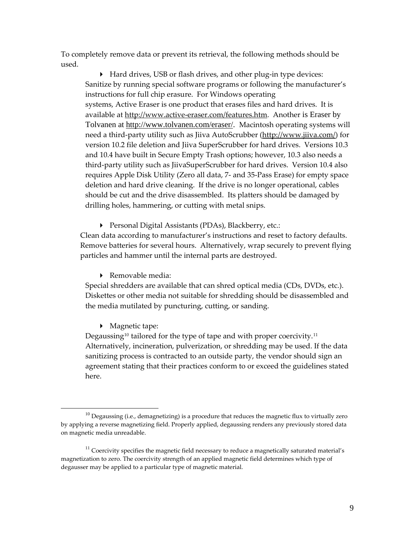To completely remove data or prevent its retrieval, the following methods should be used.

 Hard drives, USB or flash drives, and other plug‐in type devices: Sanitize by running special software programs or following the manufacturer's instructions for full chip erasure. For Windows operating systems, Active Eraser is one product that erases files and hard drives. It is available at http://www.active-[eraser.com/features.htm.](http://www.active-eraser.com/features.htm) Another is Eraser by Tolvanen at [http://www.tolvanen.com/eraser/.](http://www.tolvanen.com/eraser/) Macintosh operating systems will need a third‐party utility such as Jiiva AutoScrubber [\(http://www.jiiva.com/](http://www.jiiva.com/)) for version 10.2 file deletion and Jiiva SuperScrubber for hard drives. Versions 10.3 and 10.4 have built in Secure Empty Trash options; however, 10.3 also needs a third‐party utility such as JiivaSuperScrubber for hard drives. Version 10.4 also requires Apple Disk Utility (Zero all data, 7‐ and 35‐Pass Erase) for empty space deletion and hard drive cleaning. If the drive is no longer operational, cables should be cut and the drive disassembled. Its platters should be damaged by drilling holes, hammering, or cutting with metal snips.

Personal Digital Assistants (PDAs), Blackberry, etc.:

Clean data according to manufacturer's instructions and reset to factory defaults. Remove batteries for several hours. Alternatively, wrap securely to prevent flying particles and hammer until the internal parts are destroyed.

▶ Removable media:

Special shredders are available that can shred optical media (CDs, DVDs, etc.). Diskettes or other media not suitable for shredding should be disassembled and the media mutilated by puncturing, cutting, or sanding.

▶ Magnetic tape:

Degaussing<sup>[10](#page-8-0)</sup> tailored for the type of tape and with proper coercivity.<sup>[11](#page-8-1)</sup> Alternatively, incineration, pulverization, or shredding may be used. If the data sanitizing process is contracted to an outside party, the vendor should sign an agreement stating that their practices conform to or exceed the guidelines stated here.

<span id="page-8-0"></span> $10$  Degaussing (i.e., demagnetizing) is a procedure that reduces the magnetic flux to virtually zero by applying a reverse magnetizing field. Properly applied, degaussing renders any previously stored data on magnetic media unreadable.

<span id="page-8-1"></span> $11$  Coercivity specifies the magnetic field necessary to reduce a magnetically saturated material's magnetization to zero. The coercivity strength of an applied magnetic field determines which type of degausser may be applied to a particular type of magnetic material.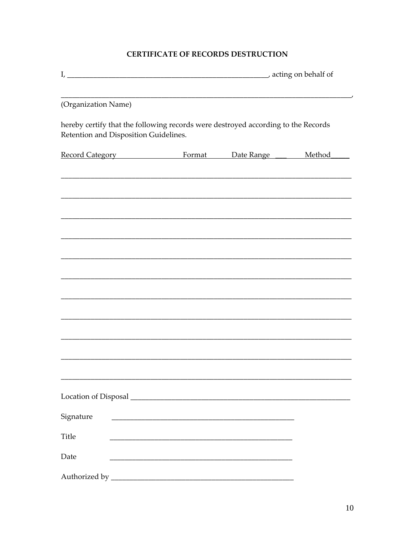## CERTIFICATE OF RECORDS DESTRUCTION

| (Organization Name)                                                                                                        |                                                                 |  |               |  |
|----------------------------------------------------------------------------------------------------------------------------|-----------------------------------------------------------------|--|---------------|--|
| hereby certify that the following records were destroyed according to the Records<br>Retention and Disposition Guidelines. |                                                                 |  |               |  |
| Record Category <b>Example 2</b> Format Date Range                                                                         |                                                                 |  | <b>Method</b> |  |
|                                                                                                                            |                                                                 |  |               |  |
|                                                                                                                            |                                                                 |  |               |  |
|                                                                                                                            |                                                                 |  |               |  |
|                                                                                                                            |                                                                 |  |               |  |
|                                                                                                                            |                                                                 |  |               |  |
|                                                                                                                            |                                                                 |  |               |  |
|                                                                                                                            |                                                                 |  |               |  |
|                                                                                                                            |                                                                 |  |               |  |
|                                                                                                                            |                                                                 |  |               |  |
|                                                                                                                            |                                                                 |  |               |  |
|                                                                                                                            |                                                                 |  |               |  |
|                                                                                                                            |                                                                 |  |               |  |
|                                                                                                                            |                                                                 |  |               |  |
| Signature                                                                                                                  |                                                                 |  |               |  |
|                                                                                                                            |                                                                 |  |               |  |
| Title                                                                                                                      |                                                                 |  |               |  |
| Date                                                                                                                       | <u> 1980 - Johann Barn, margaret eta biztanleria (h. 1980).</u> |  |               |  |
|                                                                                                                            |                                                                 |  |               |  |